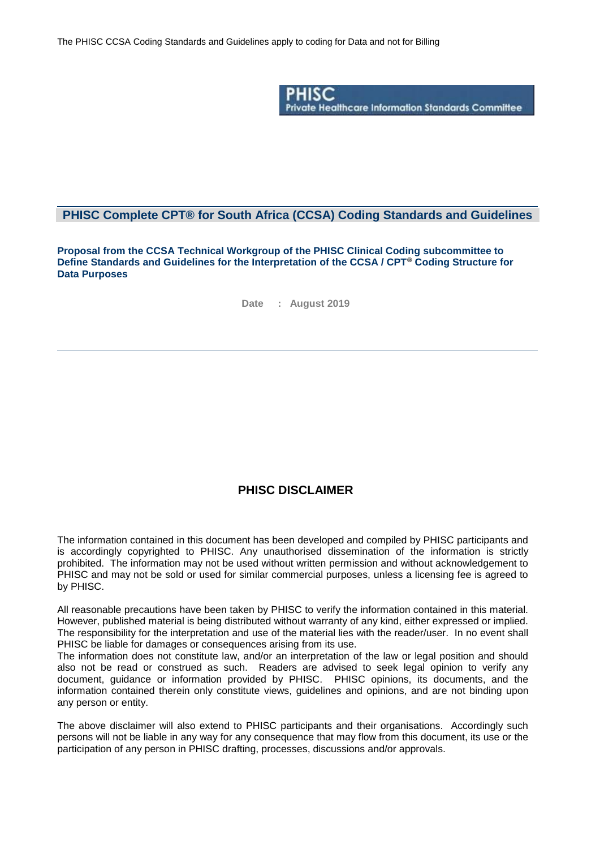

### **PHISC Complete CPT® for South Africa (CCSA) Coding Standards and Guidelines**

**Proposal from the CCSA Technical Workgroup of the PHISC Clinical Coding subcommittee to Define Standards and Guidelines for the Interpretation of the CCSA / CPT® Coding Structure for Data Purposes**

**Date : August 2019**

### **PHISC DISCLAIMER**

The information contained in this document has been developed and compiled by PHISC participants and is accordingly copyrighted to PHISC. Any unauthorised dissemination of the information is strictly prohibited. The information may not be used without written permission and without acknowledgement to PHISC and may not be sold or used for similar commercial purposes, unless a licensing fee is agreed to by PHISC.

All reasonable precautions have been taken by PHISC to verify the information contained in this material. However, published material is being distributed without warranty of any kind, either expressed or implied. The responsibility for the interpretation and use of the material lies with the reader/user. In no event shall PHISC be liable for damages or consequences arising from its use.

The information does not constitute law, and/or an interpretation of the law or legal position and should also not be read or construed as such. Readers are advised to seek legal opinion to verify any document, guidance or information provided by PHISC. PHISC opinions, its documents, and the information contained therein only constitute views, guidelines and opinions, and are not binding upon any person or entity.

The above disclaimer will also extend to PHISC participants and their organisations. Accordingly such persons will not be liable in any way for any consequence that may flow from this document, its use or the participation of any person in PHISC drafting, processes, discussions and/or approvals.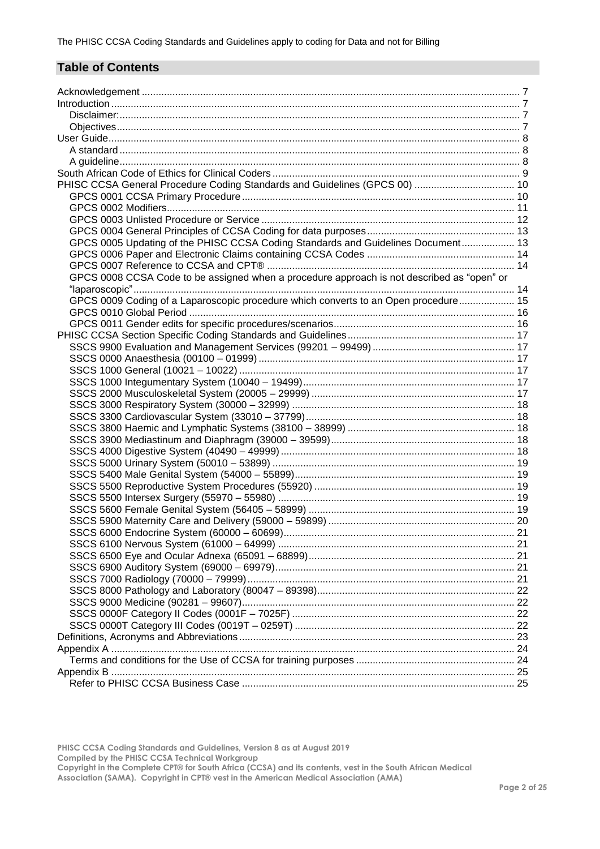# **Table of Contents**

| PHISC CCSA General Procedure Coding Standards and Guidelines (GPCS 00)  10                 |  |
|--------------------------------------------------------------------------------------------|--|
|                                                                                            |  |
|                                                                                            |  |
|                                                                                            |  |
|                                                                                            |  |
| GPCS 0005 Updating of the PHISC CCSA Coding Standards and Guidelines Document 13           |  |
|                                                                                            |  |
| GPCS 0008 CCSA Code to be assigned when a procedure approach is not described as "open" or |  |
|                                                                                            |  |
| GPCS 0009 Coding of a Laparoscopic procedure which converts to an Open procedure 15        |  |
|                                                                                            |  |
|                                                                                            |  |
|                                                                                            |  |
|                                                                                            |  |
|                                                                                            |  |
|                                                                                            |  |
|                                                                                            |  |
|                                                                                            |  |
|                                                                                            |  |
|                                                                                            |  |
|                                                                                            |  |
|                                                                                            |  |
|                                                                                            |  |
|                                                                                            |  |
|                                                                                            |  |
|                                                                                            |  |
|                                                                                            |  |
|                                                                                            |  |
|                                                                                            |  |
|                                                                                            |  |
|                                                                                            |  |
|                                                                                            |  |
|                                                                                            |  |
|                                                                                            |  |
|                                                                                            |  |
|                                                                                            |  |
|                                                                                            |  |
|                                                                                            |  |
|                                                                                            |  |
|                                                                                            |  |
|                                                                                            |  |
|                                                                                            |  |
|                                                                                            |  |

**PHISC CCSA Coding Standards and Guidelines, Version 8 as at August 2019 Compiled by the PHISC CCSA Technical Workgroup**

**Copyright in the Complete CPT® for South Africa (CCSA) and its contents, vest in the South African Medical**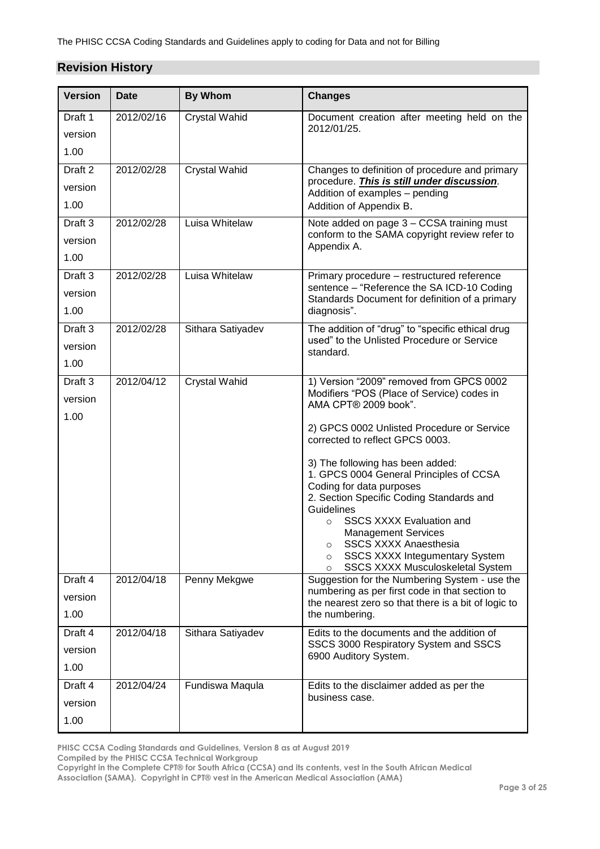# **Revision History**

| <b>Version</b>     | <b>Date</b> | <b>By Whom</b>       | <b>Changes</b>                                                                                  |
|--------------------|-------------|----------------------|-------------------------------------------------------------------------------------------------|
| Draft 1            | 2012/02/16  | <b>Crystal Wahid</b> | Document creation after meeting held on the<br>2012/01/25.                                      |
| version            |             |                      |                                                                                                 |
| 1.00               |             |                      |                                                                                                 |
| Draft <sub>2</sub> | 2012/02/28  | Crystal Wahid        | Changes to definition of procedure and primary<br>procedure. This is still under discussion.    |
| version            |             |                      | Addition of examples - pending                                                                  |
| 1.00               |             |                      | Addition of Appendix B.                                                                         |
| Draft <sub>3</sub> | 2012/02/28  | Luisa Whitelaw       | Note added on page 3 - CCSA training must<br>conform to the SAMA copyright review refer to      |
| version            |             |                      | Appendix A.                                                                                     |
| 1.00               |             |                      |                                                                                                 |
| Draft 3            | 2012/02/28  | Luisa Whitelaw       | Primary procedure - restructured reference                                                      |
| version            |             |                      | sentence - "Reference the SA ICD-10 Coding<br>Standards Document for definition of a primary    |
| 1.00               |             |                      | diagnosis".                                                                                     |
| Draft 3            | 2012/02/28  | Sithara Satiyadev    | The addition of "drug" to "specific ethical drug                                                |
| version            |             |                      | used" to the Unlisted Procedure or Service<br>standard.                                         |
| 1.00               |             |                      |                                                                                                 |
| Draft 3            | 2012/04/12  | <b>Crystal Wahid</b> | 1) Version "2009" removed from GPCS 0002                                                        |
| version            |             |                      | Modifiers "POS (Place of Service) codes in<br>AMA CPT® 2009 book".                              |
| 1.00               |             |                      |                                                                                                 |
|                    |             |                      | 2) GPCS 0002 Unlisted Procedure or Service<br>corrected to reflect GPCS 0003.                   |
|                    |             |                      |                                                                                                 |
|                    |             |                      | 3) The following has been added:<br>1. GPCS 0004 General Principles of CCSA                     |
|                    |             |                      | Coding for data purposes                                                                        |
|                    |             |                      | 2. Section Specific Coding Standards and<br>Guidelines                                          |
|                    |             |                      | <b>SSCS XXXX Evaluation and</b><br>$\Omega$                                                     |
|                    |             |                      | Management Services<br>SSCS XXXX Anaesthesia                                                    |
|                    |             |                      | $\circ$<br><b>SSCS XXXX Integumentary System</b><br>$\circ$                                     |
| Draft 4            | 2012/04/18  |                      | <b>SSCS XXXX Musculoskeletal System</b><br>$\circ$                                              |
|                    |             | Penny Mekgwe         | Suggestion for the Numbering System - use the<br>numbering as per first code in that section to |
| version<br>1.00    |             |                      | the nearest zero so that there is a bit of logic to                                             |
|                    |             |                      | the numbering.                                                                                  |
| Draft 4            | 2012/04/18  | Sithara Satiyadev    | Edits to the documents and the addition of<br>SSCS 3000 Respiratory System and SSCS             |
| version            |             |                      | 6900 Auditory System.                                                                           |
| 1.00               |             |                      |                                                                                                 |
| Draft 4            | 2012/04/24  | Fundiswa Maqula      | Edits to the disclaimer added as per the<br>business case.                                      |
| version            |             |                      |                                                                                                 |
| 1.00               |             |                      |                                                                                                 |

**PHISC CCSA Coding Standards and Guidelines, Version 8 as at August 2019**

**Compiled by the PHISC CCSA Technical Workgroup**

**Copyright in the Complete CPT® for South Africa (CCSA) and its contents, vest in the South African Medical**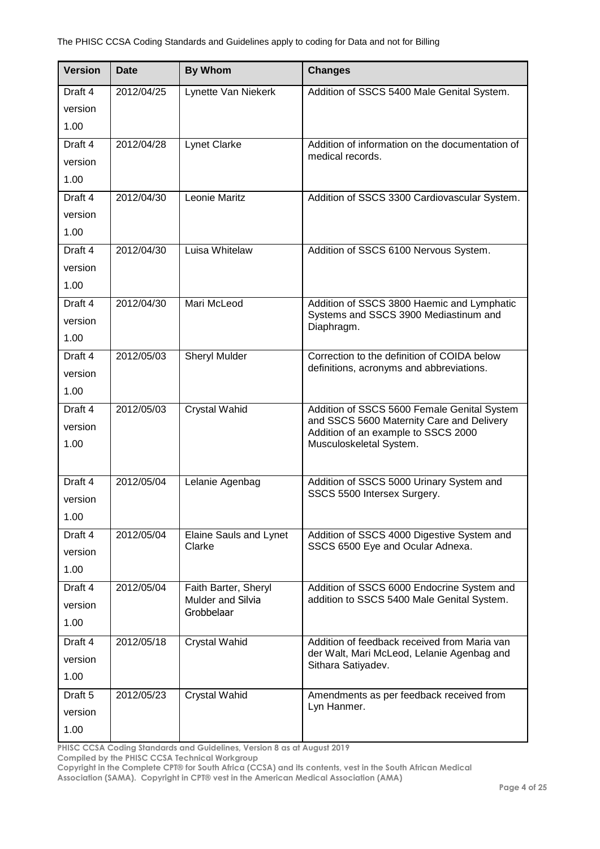| <b>Version</b>                        | <b>Date</b> | <b>By Whom</b>                                                 | <b>Changes</b>                                                                                                                                             |
|---------------------------------------|-------------|----------------------------------------------------------------|------------------------------------------------------------------------------------------------------------------------------------------------------------|
| Draft 4<br>version<br>1.00            | 2012/04/25  | Lynette Van Niekerk                                            | Addition of SSCS 5400 Male Genital System.                                                                                                                 |
| Draft 4<br>version<br>1.00            | 2012/04/28  | <b>Lynet Clarke</b>                                            | Addition of information on the documentation of<br>medical records.                                                                                        |
| Draft 4<br>version<br>1.00            | 2012/04/30  | Leonie Maritz                                                  | Addition of SSCS 3300 Cardiovascular System.                                                                                                               |
| Draft 4<br>version<br>1.00            | 2012/04/30  | Luisa Whitelaw                                                 | Addition of SSCS 6100 Nervous System.                                                                                                                      |
| Draft 4<br>version<br>1.00            | 2012/04/30  | Mari McLeod                                                    | Addition of SSCS 3800 Haemic and Lymphatic<br>Systems and SSCS 3900 Mediastinum and<br>Diaphragm.                                                          |
| Draft 4<br>version<br>1.00            | 2012/05/03  | <b>Sheryl Mulder</b>                                           | Correction to the definition of COIDA below<br>definitions, acronyms and abbreviations.                                                                    |
| Draft 4<br>version<br>1.00            | 2012/05/03  | <b>Crystal Wahid</b>                                           | Addition of SSCS 5600 Female Genital System<br>and SSCS 5600 Maternity Care and Delivery<br>Addition of an example to SSCS 2000<br>Musculoskeletal System. |
| Draft 4<br>version<br>1.00            | 2012/05/04  | Lelanie Agenbag                                                | Addition of SSCS 5000 Urinary System and<br>SSCS 5500 Intersex Surgery.                                                                                    |
| Draft 4<br>version<br>1.00            | 2012/05/04  | Elaine Sauls and Lynet<br>Clarke                               | Addition of SSCS 4000 Digestive System and<br>SSCS 6500 Eye and Ocular Adnexa.                                                                             |
| Draft 4<br>version<br>1.00            | 2012/05/04  | Faith Barter, Sheryl<br><b>Mulder and Silvia</b><br>Grobbelaar | Addition of SSCS 6000 Endocrine System and<br>addition to SSCS 5400 Male Genital System.                                                                   |
| Draft 4<br>version<br>1.00            | 2012/05/18  | <b>Crystal Wahid</b>                                           | Addition of feedback received from Maria van<br>der Walt, Mari McLeod, Lelanie Agenbag and<br>Sithara Satiyadev.                                           |
| Draft <sub>5</sub><br>version<br>1.00 | 2012/05/23  | <b>Crystal Wahid</b>                                           | Amendments as per feedback received from<br>Lyn Hanmer.                                                                                                    |

**PHISC CCSA Coding Standards and Guidelines, Version 8 as at August 2019**

**Compiled by the PHISC CCSA Technical Workgroup**

**Copyright in the Complete CPT® for South Africa (CCSA) and its contents, vest in the South African Medical**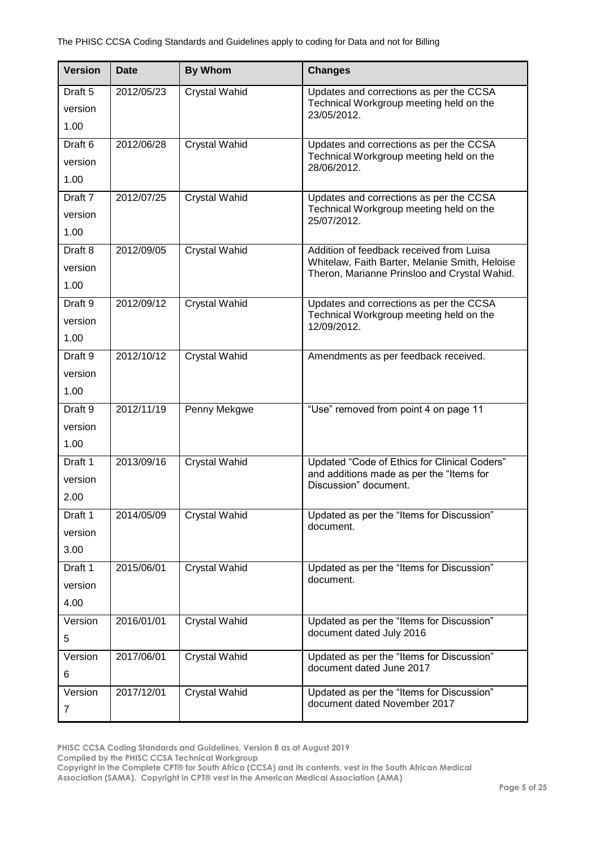| <b>Version</b>                        | <b>Date</b> | <b>By Whom</b>       | <b>Changes</b>                                                                                                                             |
|---------------------------------------|-------------|----------------------|--------------------------------------------------------------------------------------------------------------------------------------------|
| Draft 5<br>version<br>1.00            | 2012/05/23  | <b>Crystal Wahid</b> | Updates and corrections as per the CCSA<br>Technical Workgroup meeting held on the<br>23/05/2012.                                          |
| Draft <sub>6</sub><br>version<br>1.00 | 2012/06/28  | <b>Crystal Wahid</b> | Updates and corrections as per the CCSA<br>Technical Workgroup meeting held on the<br>28/06/2012.                                          |
| Draft 7<br>version<br>1.00            | 2012/07/25  | <b>Crystal Wahid</b> | Updates and corrections as per the CCSA<br>Technical Workgroup meeting held on the<br>25/07/2012.                                          |
| Draft 8<br>version<br>1.00            | 2012/09/05  | <b>Crystal Wahid</b> | Addition of feedback received from Luisa<br>Whitelaw, Faith Barter, Melanie Smith, Heloise<br>Theron, Marianne Prinsloo and Crystal Wahid. |
| Draft 9<br>version<br>1.00            | 2012/09/12  | <b>Crystal Wahid</b> | Updates and corrections as per the CCSA<br>Technical Workgroup meeting held on the<br>12/09/2012.                                          |
| Draft 9<br>version<br>1.00            | 2012/10/12  | <b>Crystal Wahid</b> | Amendments as per feedback received.                                                                                                       |
| Draft 9<br>version<br>1.00            | 2012/11/19  | Penny Mekgwe         | "Use" removed from point 4 on page 11                                                                                                      |
| Draft 1<br>version<br>2.00            | 2013/09/16  | <b>Crystal Wahid</b> | Updated "Code of Ethics for Clinical Coders"<br>and additions made as per the "Items for<br>Discussion" document.                          |
| Draft 1<br>version<br>3.00            | 2014/05/09  | <b>Crystal Wahid</b> | Updated as per the "Items for Discussion"<br>document.                                                                                     |
| Draft 1<br>version<br>4.00            | 2015/06/01  | <b>Crystal Wahid</b> | Updated as per the "Items for Discussion"<br>document.                                                                                     |
| Version<br>5                          | 2016/01/01  | <b>Crystal Wahid</b> | Updated as per the "Items for Discussion"<br>document dated July 2016                                                                      |
| Version<br>6                          | 2017/06/01  | Crystal Wahid        | Updated as per the "Items for Discussion"<br>document dated June 2017                                                                      |
| Version<br>$\overline{7}$             | 2017/12/01  | Crystal Wahid        | Updated as per the "Items for Discussion"<br>document dated November 2017                                                                  |

**PHISC CCSA Coding Standards and Guidelines, Version 8 as at August 2019**

**Compiled by the PHISC CCSA Technical Workgroup**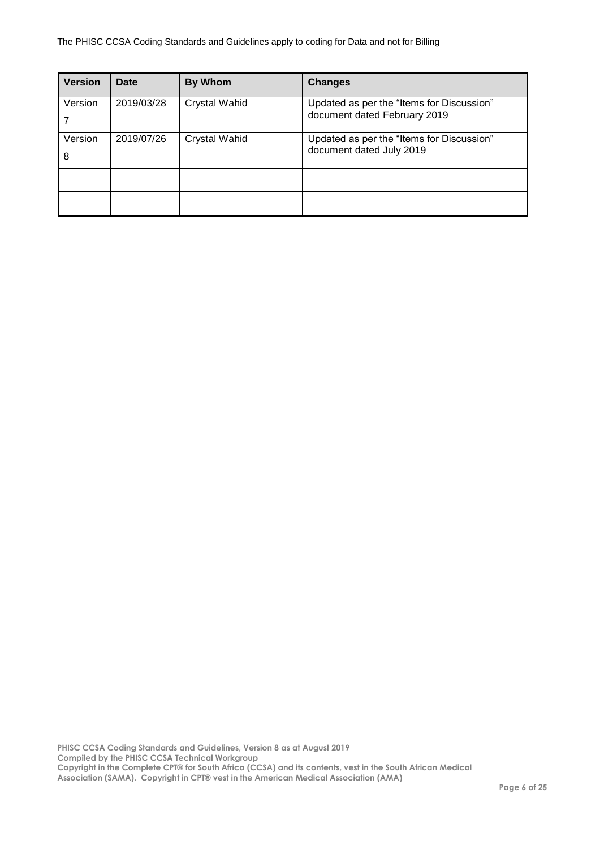| <b>Version</b> | Date       | <b>By Whom</b>       | <b>Changes</b>                                                            |
|----------------|------------|----------------------|---------------------------------------------------------------------------|
| Version        | 2019/03/28 | <b>Crystal Wahid</b> | Updated as per the "Items for Discussion"<br>document dated February 2019 |
| Version<br>8   | 2019/07/26 | Crystal Wahid        | Updated as per the "Items for Discussion"<br>document dated July 2019     |
|                |            |                      |                                                                           |
|                |            |                      |                                                                           |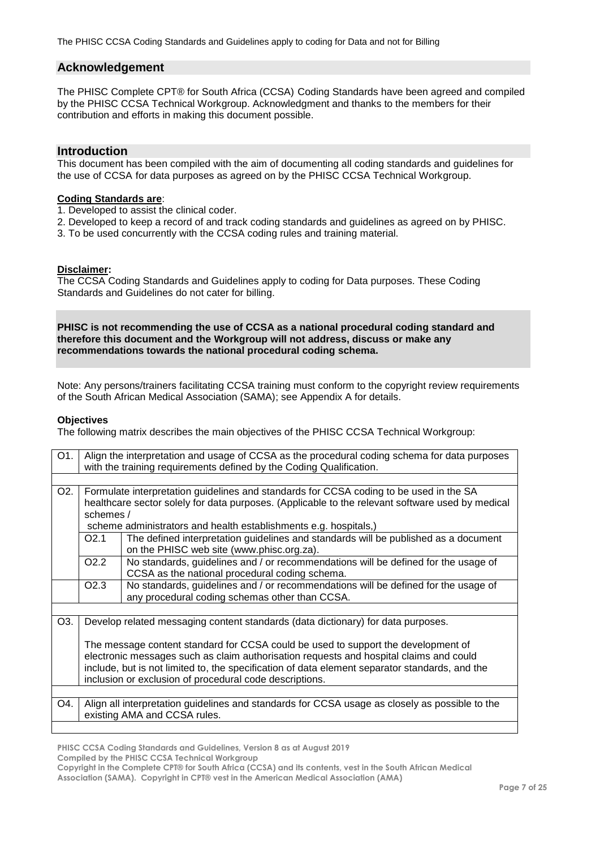#### <span id="page-6-0"></span>**Acknowledgement**

The PHISC Complete CPT® for South Africa (CCSA) Coding Standards have been agreed and compiled by the PHISC CCSA Technical Workgroup. Acknowledgment and thanks to the members for their contribution and efforts in making this document possible.

#### <span id="page-6-1"></span>**Introduction**

This document has been compiled with the aim of documenting all coding standards and guidelines for the use of CCSA for data purposes as agreed on by the PHISC CCSA Technical Workgroup.

### **Coding Standards are**:

- 1. Developed to assist the clinical coder.
- 2. Developed to keep a record of and track coding standards and guidelines as agreed on by PHISC.
- 3. To be used concurrently with the CCSA coding rules and training material.

#### <span id="page-6-2"></span>**Disclaimer:**

The CCSA Coding Standards and Guidelines apply to coding for Data purposes. These Coding Standards and Guidelines do not cater for billing.

**PHISC is not recommending the use of CCSA as a national procedural coding standard and therefore this document and the Workgroup will not address, discuss or make any recommendations towards the national procedural coding schema.**

Note: Any persons/trainers facilitating CCSA training must conform to the copyright review requirements of the South African Medical Association (SAMA); see Appendix A for details.

#### <span id="page-6-3"></span>**Objectives**

The following matrix describes the main objectives of the PHISC CCSA Technical Workgroup:

| O1.              | Align the interpretation and usage of CCSA as the procedural coding schema for data purposes<br>with the training requirements defined by the Coding Qualification. |                                                                                                                                      |  |  |
|------------------|---------------------------------------------------------------------------------------------------------------------------------------------------------------------|--------------------------------------------------------------------------------------------------------------------------------------|--|--|
|                  |                                                                                                                                                                     |                                                                                                                                      |  |  |
| O <sub>2</sub> . | Formulate interpretation guidelines and standards for CCSA coding to be used in the SA                                                                              |                                                                                                                                      |  |  |
|                  | healthcare sector solely for data purposes. (Applicable to the relevant software used by medical                                                                    |                                                                                                                                      |  |  |
|                  | schemes /                                                                                                                                                           |                                                                                                                                      |  |  |
|                  | scheme administrators and health establishments e.g. hospitals,)                                                                                                    |                                                                                                                                      |  |  |
|                  | O2.1                                                                                                                                                                | The defined interpretation guidelines and standards will be published as a document<br>on the PHISC web site (www.phisc.org.za).     |  |  |
|                  | O <sub>2.2</sub>                                                                                                                                                    | No standards, guidelines and / or recommendations will be defined for the usage of<br>CCSA as the national procedural coding schema. |  |  |
|                  | O <sub>2.3</sub>                                                                                                                                                    | No standards, guidelines and / or recommendations will be defined for the usage of<br>any procedural coding schemas other than CCSA. |  |  |
|                  |                                                                                                                                                                     |                                                                                                                                      |  |  |
| O3.              |                                                                                                                                                                     | Develop related messaging content standards (data dictionary) for data purposes.                                                     |  |  |
|                  | The message content standard for CCSA could be used to support the development of                                                                                   |                                                                                                                                      |  |  |
|                  | electronic messages such as claim authorisation requests and hospital claims and could                                                                              |                                                                                                                                      |  |  |
|                  | include, but is not limited to, the specification of data element separator standards, and the                                                                      |                                                                                                                                      |  |  |
|                  | inclusion or exclusion of procedural code descriptions.                                                                                                             |                                                                                                                                      |  |  |
|                  |                                                                                                                                                                     |                                                                                                                                      |  |  |
| O4.              |                                                                                                                                                                     | Align all interpretation guidelines and standards for CCSA usage as closely as possible to the<br>existing AMA and CCSA rules.       |  |  |

**PHISC CCSA Coding Standards and Guidelines, Version 8 as at August 2019**

**Compiled by the PHISC CCSA Technical Workgroup**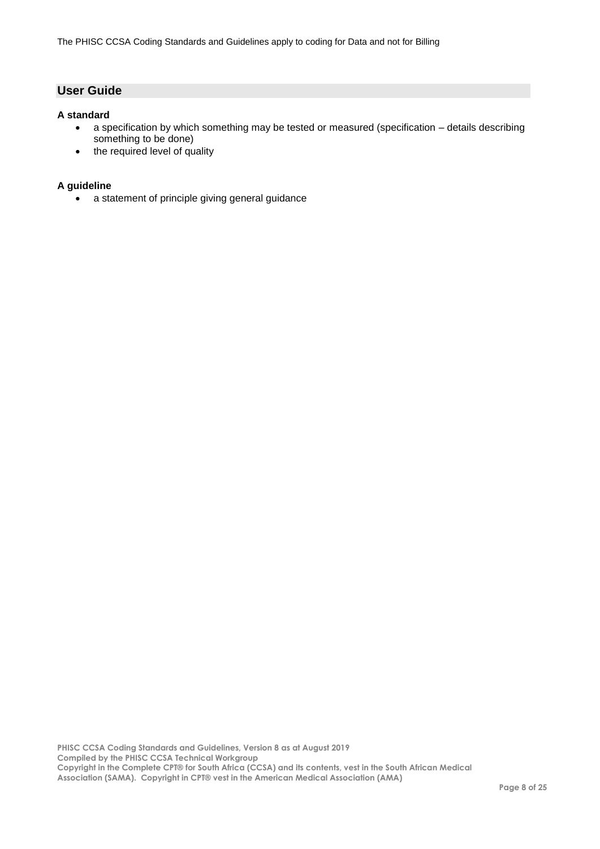## <span id="page-7-0"></span>**User Guide**

#### <span id="page-7-1"></span>**A standard**

- a specification by which something may be tested or measured (specification details describing something to be done)
- the required level of quality

#### <span id="page-7-2"></span>**A guideline**

a statement of principle giving general guidance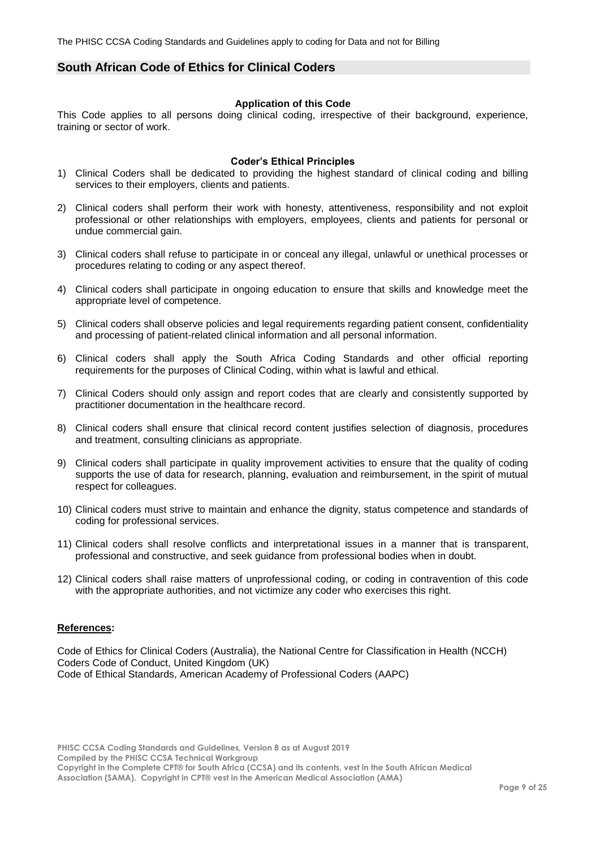### <span id="page-8-0"></span>**South African Code of Ethics for Clinical Coders**

#### **Application of this Code**

This Code applies to all persons doing clinical coding, irrespective of their background, experience, training or sector of work.

#### **Coder's Ethical Principles**

- 1) Clinical Coders shall be dedicated to providing the highest standard of clinical coding and billing services to their employers, clients and patients.
- 2) Clinical coders shall perform their work with honesty, attentiveness, responsibility and not exploit professional or other relationships with employers, employees, clients and patients for personal or undue commercial gain.
- 3) Clinical coders shall refuse to participate in or conceal any illegal, unlawful or unethical processes or procedures relating to coding or any aspect thereof.
- 4) Clinical coders shall participate in ongoing education to ensure that skills and knowledge meet the appropriate level of competence.
- 5) Clinical coders shall observe policies and legal requirements regarding patient consent, confidentiality and processing of patient-related clinical information and all personal information.
- 6) Clinical coders shall apply the South Africa Coding Standards and other official reporting requirements for the purposes of Clinical Coding, within what is lawful and ethical.
- 7) Clinical Coders should only assign and report codes that are clearly and consistently supported by practitioner documentation in the healthcare record.
- 8) Clinical coders shall ensure that clinical record content justifies selection of diagnosis, procedures and treatment, consulting clinicians as appropriate.
- 9) Clinical coders shall participate in quality improvement activities to ensure that the quality of coding supports the use of data for research, planning, evaluation and reimbursement, in the spirit of mutual respect for colleagues.
- 10) Clinical coders must strive to maintain and enhance the dignity, status competence and standards of coding for professional services.
- 11) Clinical coders shall resolve conflicts and interpretational issues in a manner that is transparent, professional and constructive, and seek guidance from professional bodies when in doubt.
- 12) Clinical coders shall raise matters of unprofessional coding, or coding in contravention of this code with the appropriate authorities, and not victimize any coder who exercises this right.

#### **References:**

Code of Ethics for Clinical Coders (Australia), the National Centre for Classification in Health (NCCH) Coders Code of Conduct, United Kingdom (UK) Code of Ethical Standards, American Academy of Professional Coders (AAPC)

**PHISC CCSA Coding Standards and Guidelines, Version 8 as at August 2019 Compiled by the PHISC CCSA Technical Workgroup Copyright in the Complete CPT® for South Africa (CCSA) and its contents, vest in the South African Medical**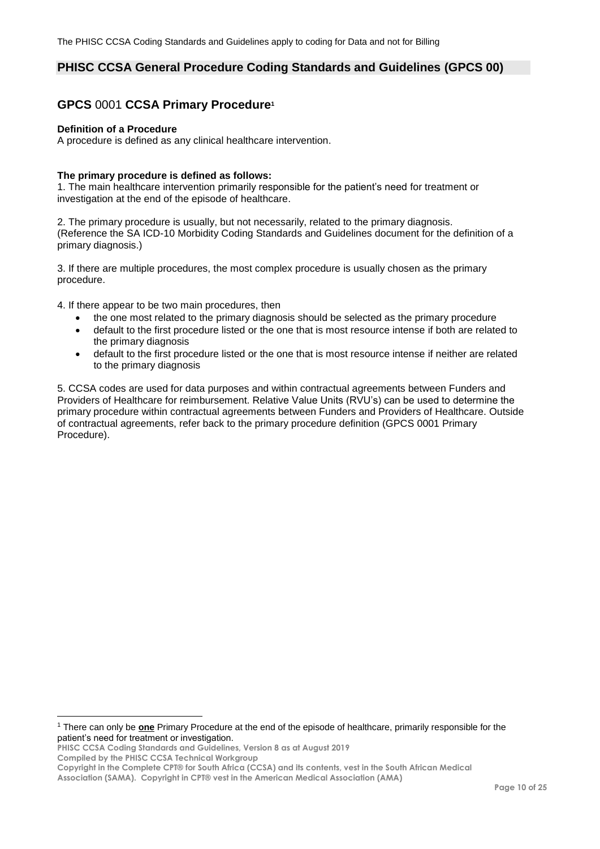## <span id="page-9-0"></span>**PHISC CCSA General Procedure Coding Standards and Guidelines (GPCS 00)**

## <span id="page-9-1"></span>**GPCS** 0001 **CCSA Primary Procedure<sup>1</sup>**

#### **Definition of a Procedure**

A procedure is defined as any clinical healthcare intervention.

#### **The primary procedure is defined as follows:**

1. The main healthcare intervention primarily responsible for the patient's need for treatment or investigation at the end of the episode of healthcare.

2. The primary procedure is usually, but not necessarily, related to the primary diagnosis. (Reference the SA ICD-10 Morbidity Coding Standards and Guidelines document for the definition of a primary diagnosis.)

3. If there are multiple procedures, the most complex procedure is usually chosen as the primary procedure.

4. If there appear to be two main procedures, then

- the one most related to the primary diagnosis should be selected as the primary procedure
- default to the first procedure listed or the one that is most resource intense if both are related to the primary diagnosis
- default to the first procedure listed or the one that is most resource intense if neither are related to the primary diagnosis

5. CCSA codes are used for data purposes and within contractual agreements between Funders and Providers of Healthcare for reimbursement. Relative Value Units (RVU's) can be used to determine the primary procedure within contractual agreements between Funders and Providers of Healthcare. Outside of contractual agreements, refer back to the primary procedure definition (GPCS 0001 Primary Procedure).

 $\overline{a}$ 

<sup>1</sup> There can only be **one** Primary Procedure at the end of the episode of healthcare, primarily responsible for the patient's need for treatment or investigation.

**PHISC CCSA Coding Standards and Guidelines, Version 8 as at August 2019 Compiled by the PHISC CCSA Technical Workgroup**

**Copyright in the Complete CPT® for South Africa (CCSA) and its contents, vest in the South African Medical** 

**Association (SAMA). Copyright in CPT® vest in the American Medical Association (AMA)**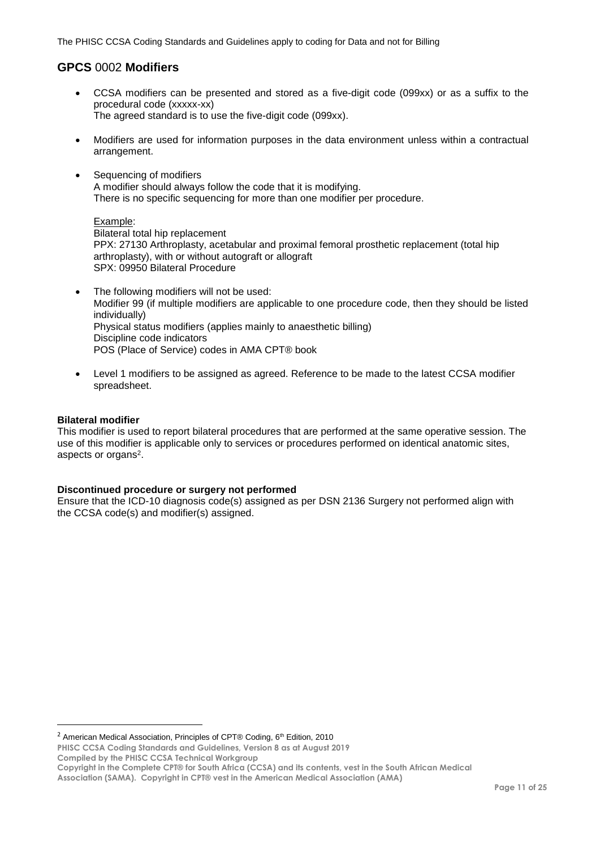# <span id="page-10-0"></span>**GPCS** 0002 **Modifiers**

- CCSA modifiers can be presented and stored as a five-digit code (099xx) or as a suffix to the procedural code (xxxxx-xx) The agreed standard is to use the five-digit code (099xx).
- Modifiers are used for information purposes in the data environment unless within a contractual arrangement.
- Sequencing of modifiers A modifier should always follow the code that it is modifying. There is no specific sequencing for more than one modifier per procedure.

Example: Bilateral total hip replacement PPX: 27130 Arthroplasty, acetabular and proximal femoral prosthetic replacement (total hip arthroplasty), with or without autograft or allograft SPX: 09950 Bilateral Procedure

- The following modifiers will not be used: Modifier 99 (if multiple modifiers are applicable to one procedure code, then they should be listed individually) Physical status modifiers (applies mainly to anaesthetic billing) Discipline code indicators POS (Place of Service) codes in AMA CPT® book
- Level 1 modifiers to be assigned as agreed. Reference to be made to the latest CCSA modifier spreadsheet.

### **Bilateral modifier**

 $\overline{a}$ 

This modifier is used to report bilateral procedures that are performed at the same operative session. The use of this modifier is applicable only to services or procedures performed on identical anatomic sites, aspects or organs<sup>2</sup>.

### **Discontinued procedure or surgery not performed**

Ensure that the ICD-10 diagnosis code(s) assigned as per DSN 2136 Surgery not performed align with the CCSA code(s) and modifier(s) assigned.

<sup>2</sup> American Medical Association, Principles of CPT® Coding,  $6<sup>th</sup>$  Edition, 2010

**PHISC CCSA Coding Standards and Guidelines, Version 8 as at August 2019 Compiled by the PHISC CCSA Technical Workgroup**

**Copyright in the Complete CPT® for South Africa (CCSA) and its contents, vest in the South African Medical**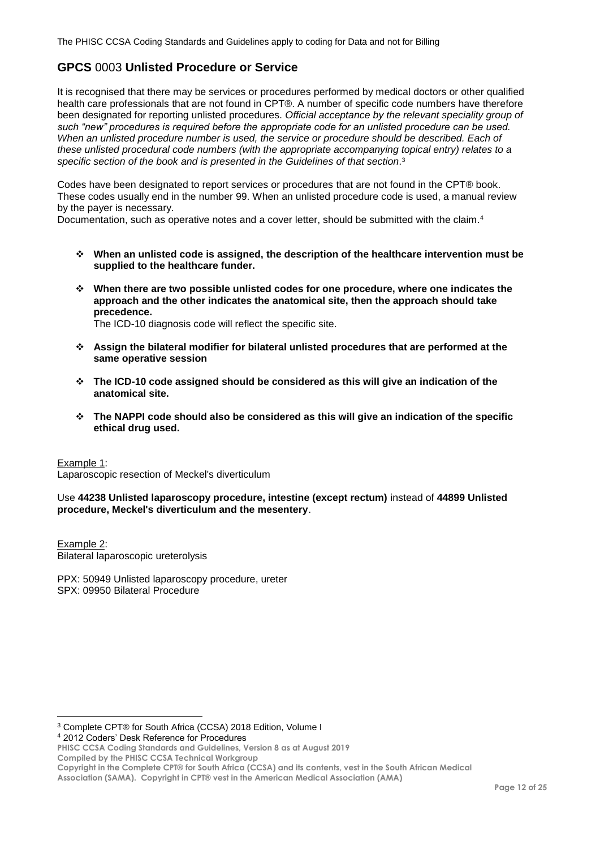# <span id="page-11-0"></span>**GPCS** 0003 **Unlisted Procedure or Service**

It is recognised that there may be services or procedures performed by medical doctors or other qualified health care professionals that are not found in CPT®. A number of specific code numbers have therefore been designated for reporting unlisted procedures. *Official acceptance by the relevant speciality group of such "new" procedures is required before the appropriate code for an unlisted procedure can be used. When an unlisted procedure number is used, the service or procedure should be described. Each of these unlisted procedural code numbers (with the appropriate accompanying topical entry) relates to a*  specific section of the book and is presented in the Guidelines of that section.<sup>3</sup>

Codes have been designated to report services or procedures that are not found in the CPT® book. These codes usually end in the number 99. When an unlisted procedure code is used, a manual review by the payer is necessary.

Documentation, such as operative notes and a cover letter, should be submitted with the claim.<sup>4</sup>

- **When an unlisted code is assigned, the description of the healthcare intervention must be supplied to the healthcare funder.**
- **When there are two possible unlisted codes for one procedure, where one indicates the approach and the other indicates the anatomical site, then the approach should take precedence.**

The ICD-10 diagnosis code will reflect the specific site.

- **Assign the bilateral modifier for bilateral unlisted procedures that are performed at the same operative session**
- **The ICD-10 code assigned should be considered as this will give an indication of the anatomical site.**
- **The NAPPI code should also be considered as this will give an indication of the specific ethical drug used.**

Example 1:

 $\overline{a}$ 

Laparoscopic resection of Meckel's diverticulum

Use **44238 Unlisted laparoscopy procedure, intestine (except rectum)** instead of **44899 Unlisted procedure, Meckel's diverticulum and the mesentery**.

Example 2: Bilateral laparoscopic ureterolysis

PPX: 50949 Unlisted laparoscopy procedure, ureter SPX: 09950 Bilateral Procedure

<sup>4</sup> 2012 Coders' Desk Reference for Procedures

**Copyright in the Complete CPT® for South Africa (CCSA) and its contents, vest in the South African Medical** 

<sup>3</sup> Complete CPT® for South Africa (CCSA) 2018 Edition, Volume I

**PHISC CCSA Coding Standards and Guidelines, Version 8 as at August 2019 Compiled by the PHISC CCSA Technical Workgroup**

**Association (SAMA). Copyright in CPT® vest in the American Medical Association (AMA)**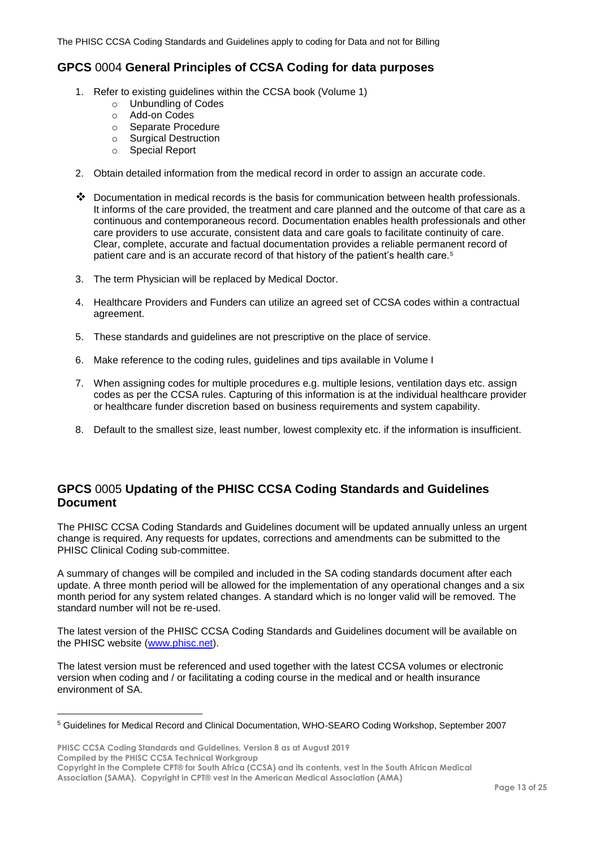# <span id="page-12-0"></span>**GPCS** 0004 **General Principles of CCSA Coding for data purposes**

- 1. Refer to existing guidelines within the CCSA book (Volume 1)
	- o Unbundling of Codes
	- o Add-on Codes
	- o Separate Procedure
	- o Surgical Destruction
	- o Special Report
- 2. Obtain detailed information from the medical record in order to assign an accurate code.
- $\clubsuit$  Documentation in medical records is the basis for communication between health professionals. It informs of the care provided, the treatment and care planned and the outcome of that care as a continuous and contemporaneous record. Documentation enables health professionals and other care providers to use accurate, consistent data and care goals to facilitate continuity of care. Clear, complete, accurate and factual documentation provides a reliable permanent record of patient care and is an accurate record of that history of the patient's health care.<sup>5</sup>
- 3. The term Physician will be replaced by Medical Doctor.
- 4. Healthcare Providers and Funders can utilize an agreed set of CCSA codes within a contractual agreement.
- 5. These standards and guidelines are not prescriptive on the place of service.
- 6. Make reference to the coding rules, guidelines and tips available in Volume I
- 7. When assigning codes for multiple procedures e.g. multiple lesions, ventilation days etc. assign codes as per the CCSA rules. Capturing of this information is at the individual healthcare provider or healthcare funder discretion based on business requirements and system capability.
- 8. Default to the smallest size, least number, lowest complexity etc. if the information is insufficient.

# <span id="page-12-1"></span>**GPCS** 0005 **Updating of the PHISC CCSA Coding Standards and Guidelines Document**

The PHISC CCSA Coding Standards and Guidelines document will be updated annually unless an urgent change is required. Any requests for updates, corrections and amendments can be submitted to the PHISC Clinical Coding sub-committee.

A summary of changes will be compiled and included in the SA coding standards document after each update. A three month period will be allowed for the implementation of any operational changes and a six month period for any system related changes. A standard which is no longer valid will be removed. The standard number will not be re-used.

The latest version of the PHISC CCSA Coding Standards and Guidelines document will be available on the PHISC website [\(www.phisc.net\)](http://www.phisc.net/).

The latest version must be referenced and used together with the latest CCSA volumes or electronic version when coding and / or facilitating a coding course in the medical and or health insurance environment of SA.

**PHISC CCSA Coding Standards and Guidelines, Version 8 as at August 2019 Compiled by the PHISC CCSA Technical Workgroup**

 $\overline{a}$ 

<sup>5</sup> Guidelines for Medical Record and Clinical Documentation, WHO-SEARO Coding Workshop, September 2007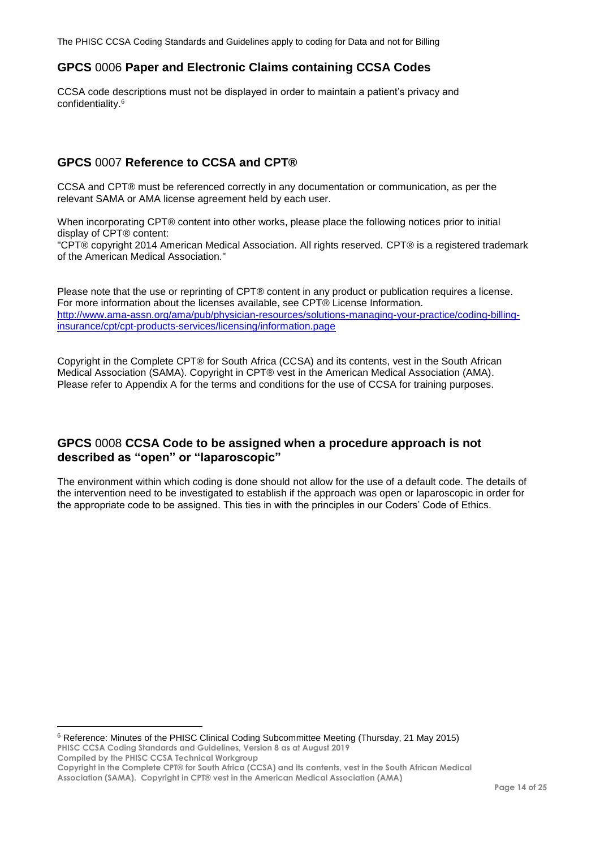## <span id="page-13-0"></span>**GPCS** 0006 **Paper and Electronic Claims containing CCSA Codes**

CCSA code descriptions must not be displayed in order to maintain a patient's privacy and confidentiality. 6

# <span id="page-13-1"></span>**GPCS** 0007 **Reference to CCSA and CPT®**

CCSA and CPT® must be referenced correctly in any documentation or communication, as per the relevant SAMA or AMA license agreement held by each user.

When incorporating CPT® content into other works, please place the following notices prior to initial display of CPT® content:

"CPT® copyright 2014 American Medical Association. All rights reserved. CPT® is a registered trademark of the American Medical Association."

Please note that the use or reprinting of CPT® content in any product or publication requires a license. For more information about the licenses available, see CPT® License Information. [http://www.ama-assn.org/ama/pub/physician-resources/solutions-managing-your-practice/coding-billing](http://www.ama-assn.org/ama/pub/physician-resources/solutions-managing-your-practice/coding-billing-insurance/cpt/cpt-products-services/licensing/information.page)[insurance/cpt/cpt-products-services/licensing/information.page](http://www.ama-assn.org/ama/pub/physician-resources/solutions-managing-your-practice/coding-billing-insurance/cpt/cpt-products-services/licensing/information.page)

Copyright in the Complete CPT® for South Africa (CCSA) and its contents, vest in the South African Medical Association (SAMA). Copyright in CPT® vest in the American Medical Association (AMA). Please refer to Appendix A for the terms and conditions for the use of CCSA for training purposes.

### <span id="page-13-2"></span>**GPCS** 0008 **CCSA Code to be assigned when a procedure approach is not described as "open" or "laparoscopic"**

The environment within which coding is done should not allow for the use of a default code. The details of the intervention need to be investigated to establish if the approach was open or laparoscopic in order for the appropriate code to be assigned. This ties in with the principles in our Coders' Code of Ethics.

**PHISC CCSA Coding Standards and Guidelines, Version 8 as at August 2019 Compiled by the PHISC CCSA Technical Workgroup Copyright in the Complete CPT® for South Africa (CCSA) and its contents, vest in the South African Medical Association (SAMA). Copyright in CPT® vest in the American Medical Association (AMA)** <sup>6</sup> Reference: Minutes of the PHISC Clinical Coding Subcommittee Meeting (Thursday, 21 May 2015)

 $\overline{a}$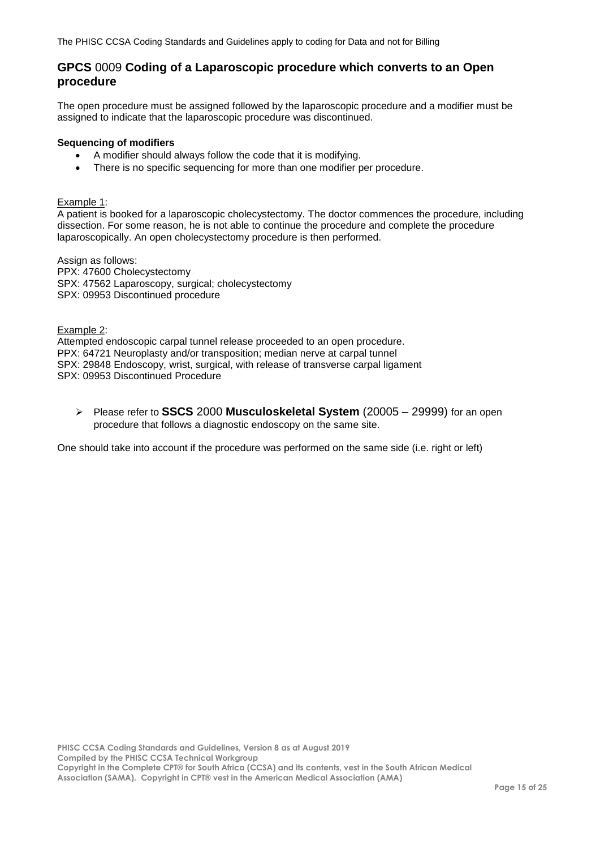### <span id="page-14-0"></span>**GPCS** 0009 **Coding of a Laparoscopic procedure which converts to an Open procedure**

The open procedure must be assigned followed by the laparoscopic procedure and a modifier must be assigned to indicate that the laparoscopic procedure was discontinued.

#### **Sequencing of modifiers**

- A modifier should always follow the code that it is modifying.
- There is no specific sequencing for more than one modifier per procedure.

#### Example 1:

A patient is booked for a laparoscopic cholecystectomy. The doctor commences the procedure, including dissection. For some reason, he is not able to continue the procedure and complete the procedure laparoscopically. An open cholecystectomy procedure is then performed.

Assign as follows: PPX: 47600 Cholecystectomy SPX: 47562 Laparoscopy, surgical; cholecystectomy SPX: 09953 Discontinued procedure

Example 2: Attempted endoscopic carpal tunnel release proceeded to an open procedure. PPX: 64721 Neuroplasty and/or transposition; median nerve at carpal tunnel SPX: 29848 Endoscopy, wrist, surgical, with release of transverse carpal ligament SPX: 09953 Discontinued Procedure

 Please refer to **SSCS** 2000 **Musculoskeletal System** (20005 – 29999) for an open procedure that follows a diagnostic endoscopy on the same site.

One should take into account if the procedure was performed on the same side (i.e. right or left)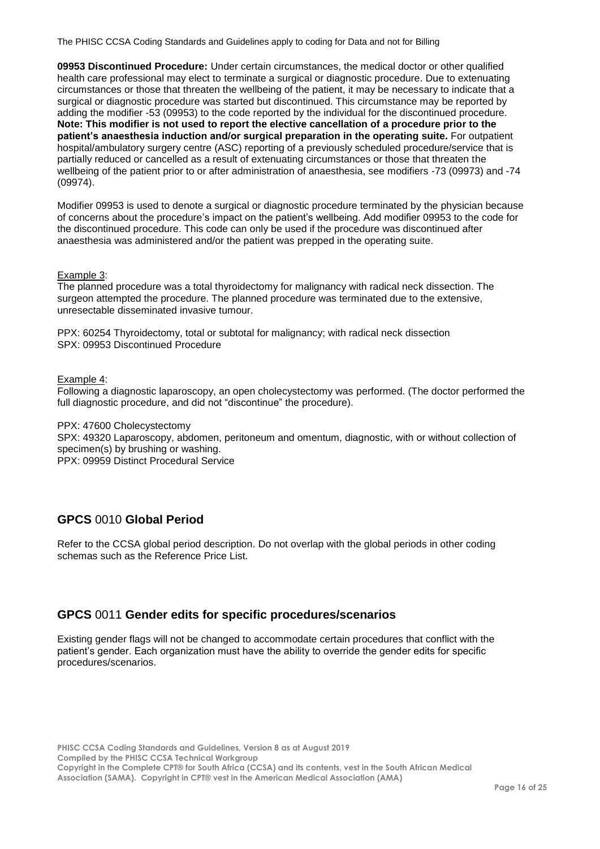**09953 Discontinued Procedure:** Under certain circumstances, the medical doctor or other qualified health care professional may elect to terminate a surgical or diagnostic procedure. Due to extenuating circumstances or those that threaten the wellbeing of the patient, it may be necessary to indicate that a surgical or diagnostic procedure was started but discontinued. This circumstance may be reported by adding the modifier -53 (09953) to the code reported by the individual for the discontinued procedure. **Note: This modifier is not used to report the elective cancellation of a procedure prior to the patient's anaesthesia induction and/or surgical preparation in the operating suite.** For outpatient hospital/ambulatory surgery centre (ASC) reporting of a previously scheduled procedure/service that is partially reduced or cancelled as a result of extenuating circumstances or those that threaten the wellbeing of the patient prior to or after administration of anaesthesia, see modifiers -73 (09973) and -74 (09974).

Modifier 09953 is used to denote a surgical or diagnostic procedure terminated by the physician because of concerns about the procedure's impact on the patient's wellbeing. Add modifier 09953 to the code for the discontinued procedure. This code can only be used if the procedure was discontinued after anaesthesia was administered and/or the patient was prepped in the operating suite.

#### Example 3:

The planned procedure was a total thyroidectomy for malignancy with radical neck dissection. The surgeon attempted the procedure. The planned procedure was terminated due to the extensive, unresectable disseminated invasive tumour.

PPX: 60254 Thyroidectomy, total or subtotal for malignancy; with radical neck dissection SPX: 09953 Discontinued Procedure

#### Example 4:

Following a diagnostic laparoscopy, an open cholecystectomy was performed. (The doctor performed the full diagnostic procedure, and did not "discontinue" the procedure).

PPX: 47600 Cholecystectomy

SPX: 49320 Laparoscopy, abdomen, peritoneum and omentum, diagnostic, with or without collection of specimen(s) by brushing or washing.

PPX: 09959 Distinct Procedural Service

# <span id="page-15-0"></span>**GPCS** 0010 **Global Period**

Refer to the CCSA global period description. Do not overlap with the global periods in other coding schemas such as the Reference Price List.

### <span id="page-15-1"></span>**GPCS** 0011 **Gender edits for specific procedures/scenarios**

Existing gender flags will not be changed to accommodate certain procedures that conflict with the patient's gender. Each organization must have the ability to override the gender edits for specific procedures/scenarios.

**PHISC CCSA Coding Standards and Guidelines, Version 8 as at August 2019 Compiled by the PHISC CCSA Technical Workgroup Copyright in the Complete CPT® for South Africa (CCSA) and its contents, vest in the South African Medical**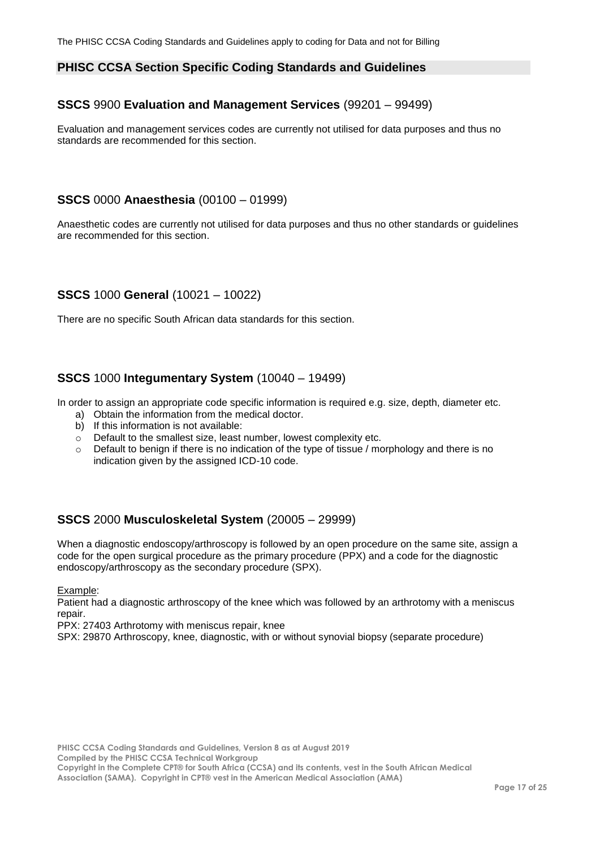### <span id="page-16-0"></span>**PHISC CCSA Section Specific Coding Standards and Guidelines**

## <span id="page-16-1"></span>**SSCS** 9900 **Evaluation and Management Services** (99201 – 99499)

Evaluation and management services codes are currently not utilised for data purposes and thus no standards are recommended for this section.

## <span id="page-16-2"></span>**SSCS** 0000 **Anaesthesia** (00100 – 01999)

Anaesthetic codes are currently not utilised for data purposes and thus no other standards or guidelines are recommended for this section.

## <span id="page-16-3"></span>**SSCS** 1000 **General** (10021 – 10022)

There are no specific South African data standards for this section.

### <span id="page-16-4"></span>**SSCS** 1000 **Integumentary System** (10040 – 19499)

In order to assign an appropriate code specific information is required e.g. size, depth, diameter etc.

- a) Obtain the information from the medical doctor.
- b) If this information is not available:
- $\circ$  Default to the smallest size, least number, lowest complexity etc.
- $\circ$  Default to benign if there is no indication of the type of tissue / morphology and there is no indication given by the assigned ICD-10 code.

### <span id="page-16-5"></span>**SSCS** 2000 **Musculoskeletal System** (20005 – 29999)

When a diagnostic endoscopy/arthroscopy is followed by an open procedure on the same site, assign a code for the open surgical procedure as the primary procedure (PPX) and a code for the diagnostic endoscopy/arthroscopy as the secondary procedure (SPX).

Example:

Patient had a diagnostic arthroscopy of the knee which was followed by an arthrotomy with a meniscus repair.

PPX: 27403 Arthrotomy with meniscus repair, knee

SPX: 29870 Arthroscopy, knee, diagnostic, with or without synovial biopsy (separate procedure)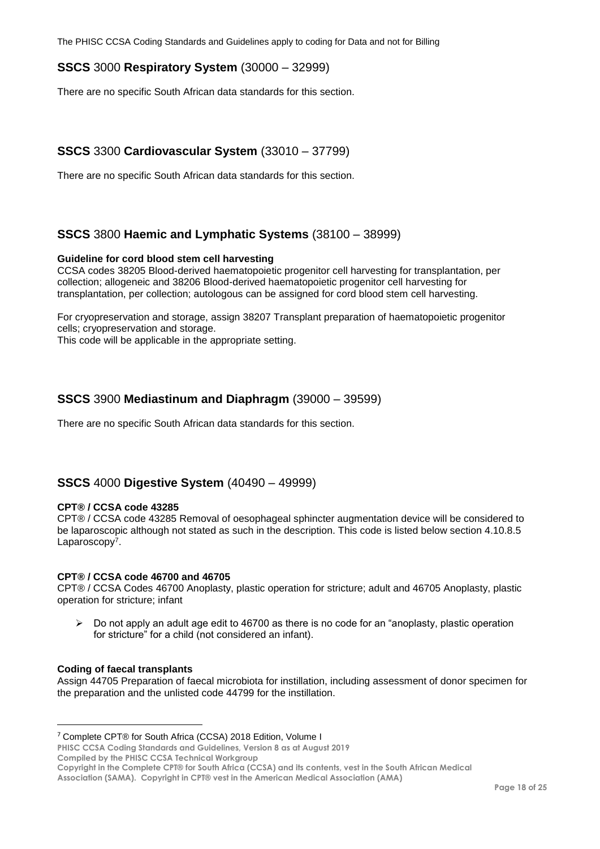## <span id="page-17-0"></span>**SSCS** 3000 **Respiratory System** (30000 – 32999)

There are no specific South African data standards for this section.

# <span id="page-17-1"></span>**SSCS** 3300 **Cardiovascular System** (33010 – 37799)

There are no specific South African data standards for this section.

### <span id="page-17-2"></span>**SSCS** 3800 **Haemic and Lymphatic Systems** (38100 – 38999)

#### **Guideline for cord blood stem cell harvesting**

CCSA codes 38205 Blood-derived haematopoietic progenitor cell harvesting for transplantation, per collection; allogeneic and 38206 Blood-derived haematopoietic progenitor cell harvesting for transplantation, per collection; autologous can be assigned for cord blood stem cell harvesting.

For cryopreservation and storage, assign 38207 Transplant preparation of haematopoietic progenitor cells; cryopreservation and storage.

This code will be applicable in the appropriate setting.

### <span id="page-17-3"></span>**SSCS** 3900 **Mediastinum and Diaphragm** (39000 – 39599)

There are no specific South African data standards for this section.

### <span id="page-17-4"></span>**SSCS** 4000 **Digestive System** (40490 – 49999)

#### **CPT® / CCSA code 43285**

CPT® / CCSA code 43285 Removal of oesophageal sphincter augmentation device will be considered to be laparoscopic although not stated as such in the description. This code is listed below section 4.10.8.5 Laparoscopy<sup>7</sup>.

#### **CPT® / CCSA code 46700 and 46705**

CPT® / CCSA Codes 46700 Anoplasty, plastic operation for stricture; adult and 46705 Anoplasty, plastic operation for stricture; infant

 $\triangleright$  Do not apply an adult age edit to 46700 as there is no code for an "anoplasty, plastic operation for stricture" for a child (not considered an infant).

#### **Coding of faecal transplants**

 $\overline{a}$ 

Assign 44705 Preparation of faecal microbiota for instillation, including assessment of donor specimen for the preparation and the unlisted code 44799 for the instillation.

**PHISC CCSA Coding Standards and Guidelines, Version 8 as at August 2019**

**Compiled by the PHISC CCSA Technical Workgroup**

**Copyright in the Complete CPT® for South Africa (CCSA) and its contents, vest in the South African Medical** 

<sup>7</sup> Complete CPT® for South Africa (CCSA) 2018 Edition, Volume I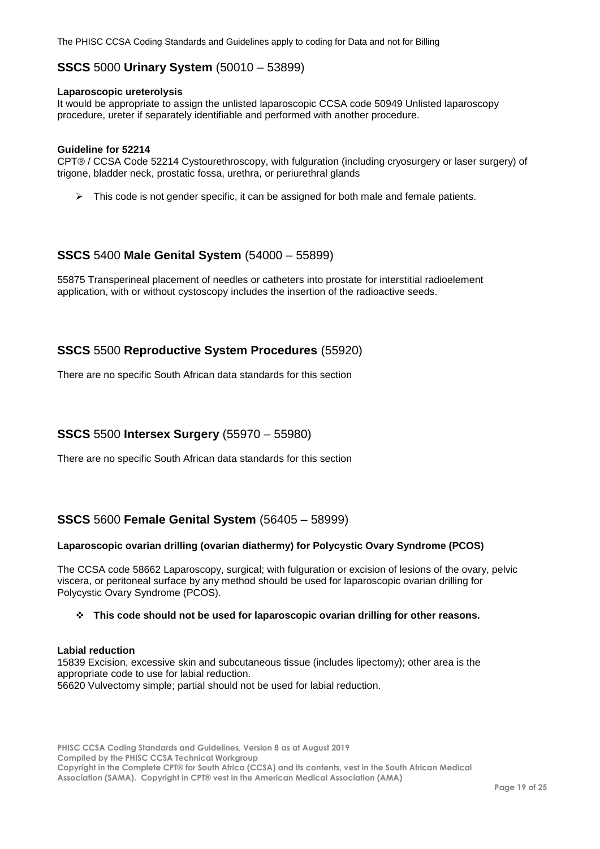### <span id="page-18-0"></span>**SSCS** 5000 **Urinary System** (50010 – 53899)

#### **Laparoscopic ureterolysis**

It would be appropriate to assign the unlisted laparoscopic CCSA code 50949 Unlisted laparoscopy procedure, ureter if separately identifiable and performed with another procedure.

#### **Guideline for 52214**

CPT® / CCSA Code 52214 Cystourethroscopy, with fulguration (including cryosurgery or laser surgery) of trigone, bladder neck, prostatic fossa, urethra, or periurethral glands

 $\triangleright$  This code is not gender specific, it can be assigned for both male and female patients.

### <span id="page-18-1"></span>**SSCS** 5400 **Male Genital System** (54000 – 55899)

55875 Transperineal placement of needles or catheters into prostate for interstitial radioelement application, with or without cystoscopy includes the insertion of the radioactive seeds.

### <span id="page-18-2"></span>**SSCS** 5500 **Reproductive System Procedures** (55920)

There are no specific South African data standards for this section

### <span id="page-18-3"></span>**SSCS** 5500 **Intersex Surgery** (55970 – 55980)

There are no specific South African data standards for this section

### <span id="page-18-4"></span>**SSCS** 5600 **Female Genital System** (56405 – 58999)

#### **Laparoscopic ovarian drilling (ovarian diathermy) for Polycystic Ovary Syndrome (PCOS)**

The CCSA code 58662 Laparoscopy, surgical; with fulguration or excision of lesions of the ovary, pelvic viscera, or peritoneal surface by any method should be used for laparoscopic ovarian drilling for Polycystic Ovary Syndrome (PCOS).

#### **This code should not be used for laparoscopic ovarian drilling for other reasons.**

#### **Labial reduction**

15839 Excision, excessive skin and subcutaneous tissue (includes lipectomy); other area is the appropriate code to use for labial reduction. 56620 Vulvectomy simple; partial should not be used for labial reduction.

**PHISC CCSA Coding Standards and Guidelines, Version 8 as at August 2019 Compiled by the PHISC CCSA Technical Workgroup Copyright in the Complete CPT® for South Africa (CCSA) and its contents, vest in the South African Medical Association (SAMA). Copyright in CPT® vest in the American Medical Association (AMA)**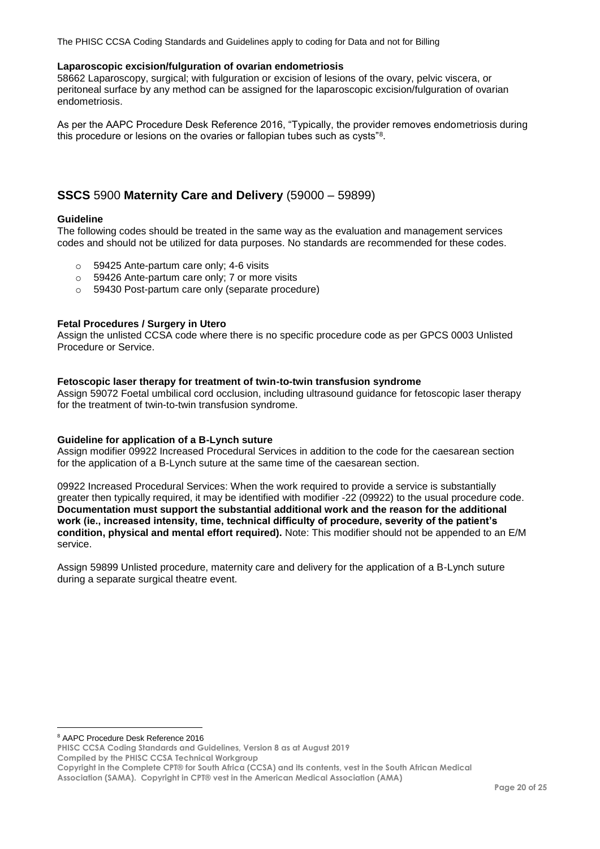#### **Laparoscopic excision/fulguration of ovarian endometriosis**

58662 Laparoscopy, surgical; with fulguration or excision of lesions of the ovary, pelvic viscera, or peritoneal surface by any method can be assigned for the laparoscopic excision/fulguration of ovarian endometriosis.

As per the AAPC Procedure Desk Reference 2016, "Typically, the provider removes endometriosis during this procedure or lesions on the ovaries or fallopian tubes such as cysts"<sup>8</sup>.

## <span id="page-19-0"></span>**SSCS** 5900 **Maternity Care and Delivery** (59000 – 59899)

#### **Guideline**

The following codes should be treated in the same way as the evaluation and management services codes and should not be utilized for data purposes. No standards are recommended for these codes.

- o 59425 Ante-partum care only; 4-6 visits
- o 59426 Ante-partum care only; 7 or more visits
- o 59430 Post-partum care only (separate procedure)

#### **Fetal Procedures / Surgery in Utero**

Assign the unlisted CCSA code where there is no specific procedure code as per GPCS 0003 Unlisted Procedure or Service.

#### **Fetoscopic laser therapy for treatment of twin-to-twin transfusion syndrome**

Assign 59072 Foetal umbilical cord occlusion, including ultrasound guidance for fetoscopic laser therapy for the treatment of twin-to-twin transfusion syndrome.

#### **Guideline for application of a B-Lynch suture**

Assign modifier 09922 Increased Procedural Services in addition to the code for the caesarean section for the application of a B-Lynch suture at the same time of the caesarean section.

09922 Increased Procedural Services: When the work required to provide a service is substantially greater then typically required, it may be identified with modifier -22 (09922) to the usual procedure code. **Documentation must support the substantial additional work and the reason for the additional work (ie., increased intensity, time, technical difficulty of procedure, severity of the patient's condition, physical and mental effort required).** Note: This modifier should not be appended to an E/M service.

Assign 59899 Unlisted procedure, maternity care and delivery for the application of a B-Lynch suture during a separate surgical theatre event.

 $\overline{a}$ <sup>8</sup> AAPC Procedure Desk Reference 2016

**PHISC CCSA Coding Standards and Guidelines, Version 8 as at August 2019**

**Compiled by the PHISC CCSA Technical Workgroup**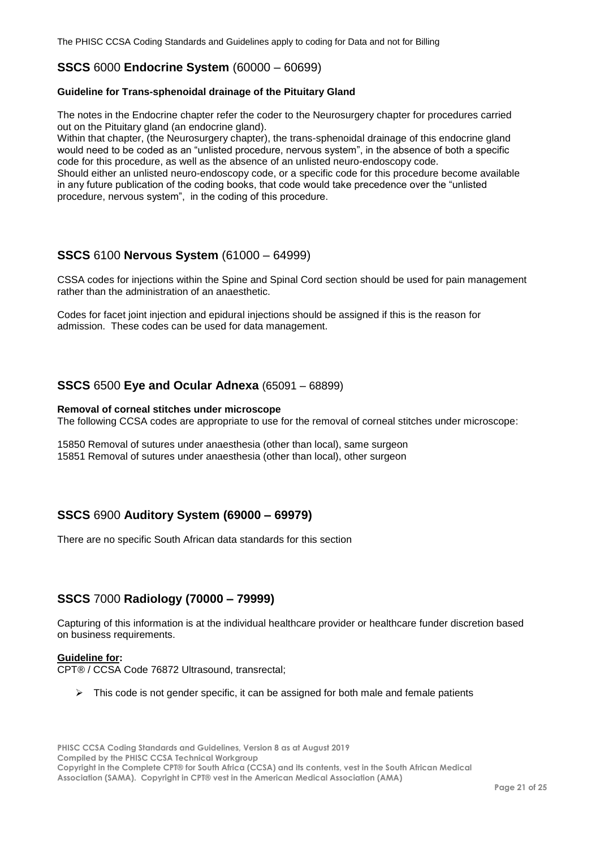### <span id="page-20-0"></span>**SSCS** 6000 **Endocrine System** (60000 – 60699)

#### **Guideline for Trans-sphenoidal drainage of the Pituitary Gland**

The notes in the Endocrine chapter refer the coder to the Neurosurgery chapter for procedures carried out on the Pituitary gland (an endocrine gland).

Within that chapter, (the Neurosurgery chapter), the trans-sphenoidal drainage of this endocrine gland would need to be coded as an "unlisted procedure, nervous system", in the absence of both a specific code for this procedure, as well as the absence of an unlisted neuro-endoscopy code.

Should either an unlisted neuro-endoscopy code, or a specific code for this procedure become available in any future publication of the coding books, that code would take precedence over the "unlisted procedure, nervous system", in the coding of this procedure.

### <span id="page-20-1"></span>**SSCS** 6100 **Nervous System** (61000 – 64999)

CSSA codes for injections within the Spine and Spinal Cord section should be used for pain management rather than the administration of an anaesthetic.

Codes for facet joint injection and epidural injections should be assigned if this is the reason for admission. These codes can be used for data management.

### <span id="page-20-2"></span>**SSCS** 6500 **Eye and Ocular Adnexa** (65091 – 68899)

#### **Removal of corneal stitches under microscope**

The following CCSA codes are appropriate to use for the removal of corneal stitches under microscope:

15850 Removal of sutures under anaesthesia (other than local), same surgeon 15851 Removal of sutures under anaesthesia (other than local), other surgeon

### <span id="page-20-3"></span>**SSCS** 6900 **Auditory System (69000 – 69979)**

There are no specific South African data standards for this section

### <span id="page-20-4"></span>**SSCS** 7000 **Radiology (70000 – 79999)**

Capturing of this information is at the individual healthcare provider or healthcare funder discretion based on business requirements.

#### **Guideline for:**

CPT® / CCSA Code 76872 Ultrasound, transrectal;

 $\triangleright$  This code is not gender specific, it can be assigned for both male and female patients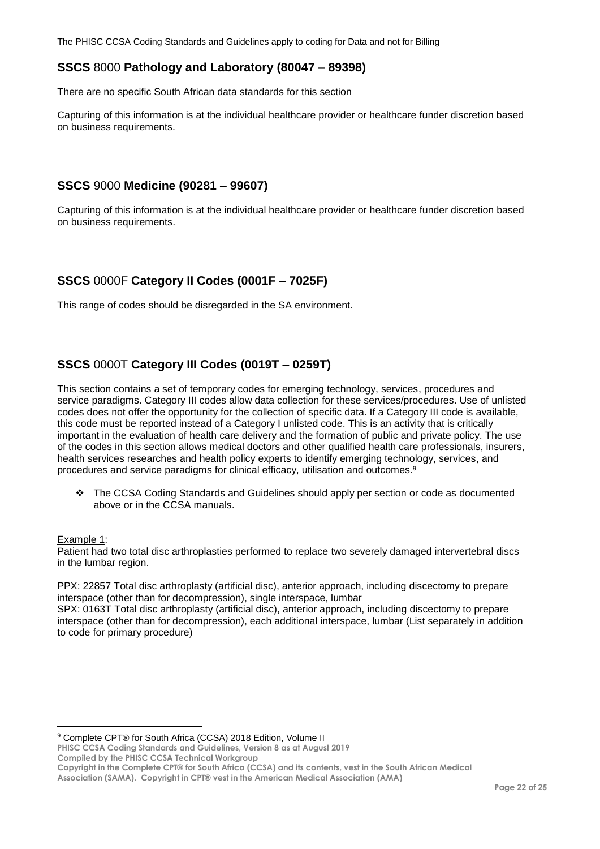## <span id="page-21-0"></span>**SSCS** 8000 **Pathology and Laboratory (80047 – 89398)**

There are no specific South African data standards for this section

Capturing of this information is at the individual healthcare provider or healthcare funder discretion based on business requirements.

## <span id="page-21-1"></span>**SSCS** 9000 **Medicine (90281 – 99607)**

Capturing of this information is at the individual healthcare provider or healthcare funder discretion based on business requirements.

## <span id="page-21-2"></span>**SSCS** 0000F **Category II Codes (0001F – 7025F)**

This range of codes should be disregarded in the SA environment.

# <span id="page-21-3"></span>**SSCS** 0000T **Category III Codes (0019T – 0259T)**

This section contains a set of temporary codes for emerging technology, services, procedures and service paradigms. Category III codes allow data collection for these services/procedures. Use of unlisted codes does not offer the opportunity for the collection of specific data. If a Category III code is available, this code must be reported instead of a Category I unlisted code. This is an activity that is critically important in the evaluation of health care delivery and the formation of public and private policy. The use of the codes in this section allows medical doctors and other qualified health care professionals, insurers, health services researches and health policy experts to identify emerging technology, services, and procedures and service paradigms for clinical efficacy, utilisation and outcomes.<sup>9</sup>

 The CCSA Coding Standards and Guidelines should apply per section or code as documented above or in the CCSA manuals.

#### Example 1:

 $\overline{a}$ 

Patient had two total disc arthroplasties performed to replace two severely damaged intervertebral discs in the lumbar region.

PPX: 22857 Total disc arthroplasty (artificial disc), anterior approach, including discectomy to prepare interspace (other than for decompression), single interspace, lumbar

SPX: 0163T Total disc arthroplasty (artificial disc), anterior approach, including discectomy to prepare interspace (other than for decompression), each additional interspace, lumbar (List separately in addition to code for primary procedure)

<sup>9</sup> Complete CPT® for South Africa (CCSA) 2018 Edition, Volume II

**PHISC CCSA Coding Standards and Guidelines, Version 8 as at August 2019 Compiled by the PHISC CCSA Technical Workgroup**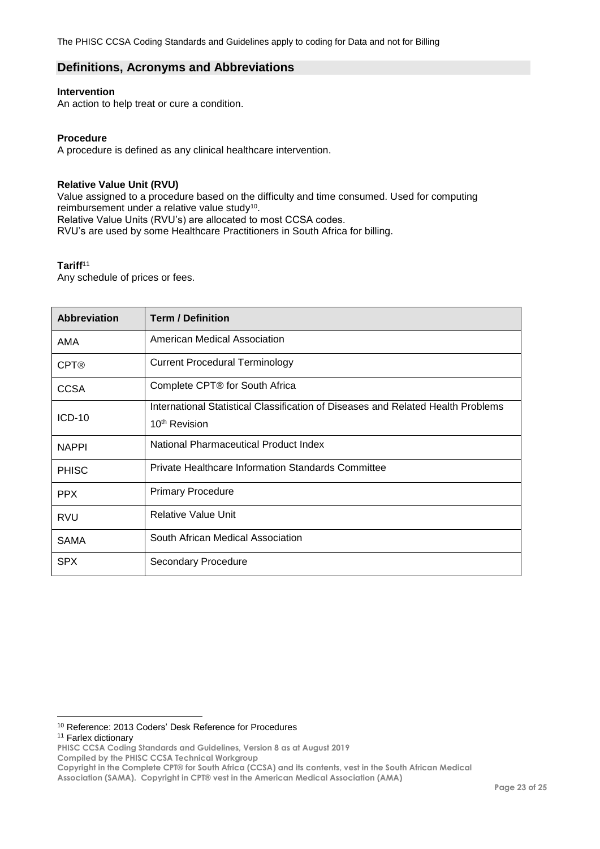### <span id="page-22-0"></span>**Definitions, Acronyms and Abbreviations**

#### **Intervention**

An action to help treat or cure a condition.

#### **Procedure**

A procedure is defined as any clinical healthcare intervention.

#### **Relative Value Unit (RVU)**

Value assigned to a procedure based on the difficulty and time consumed. Used for computing reimbursement under a relative value study<sup>10</sup>. Relative Value Units (RVU's) are allocated to most CCSA codes. RVU's are used by some Healthcare Practitioners in South Africa for billing.

#### **Tariff**<sup>11</sup>

Any schedule of prices or fees.

| <b>Abbreviation</b> | <b>Term / Definition</b>                                                         |
|---------------------|----------------------------------------------------------------------------------|
| AMA                 | American Medical Association                                                     |
| <b>CPT®</b>         | <b>Current Procedural Terminology</b>                                            |
| <b>CCSA</b>         | Complete CPT® for South Africa                                                   |
|                     | International Statistical Classification of Diseases and Related Health Problems |
| $ICD-10$            | 10 <sup>th</sup> Revision                                                        |
| <b>NAPPI</b>        | National Pharmaceutical Product Index                                            |
| <b>PHISC</b>        | Private Healthcare Information Standards Committee                               |
| <b>PPX</b>          | <b>Primary Procedure</b>                                                         |
| <b>RVU</b>          | <b>Relative Value Unit</b>                                                       |
| <b>SAMA</b>         | South African Medical Association                                                |
| <b>SPX</b>          | <b>Secondary Procedure</b>                                                       |

<sup>11</sup> Farlex dictionary

 $\overline{a}$ <sup>10</sup> Reference: 2013 Coders' Desk Reference for Procedures

**PHISC CCSA Coding Standards and Guidelines, Version 8 as at August 2019**

**Compiled by the PHISC CCSA Technical Workgroup**

**Copyright in the Complete CPT® for South Africa (CCSA) and its contents, vest in the South African Medical** 

**Association (SAMA). Copyright in CPT® vest in the American Medical Association (AMA)**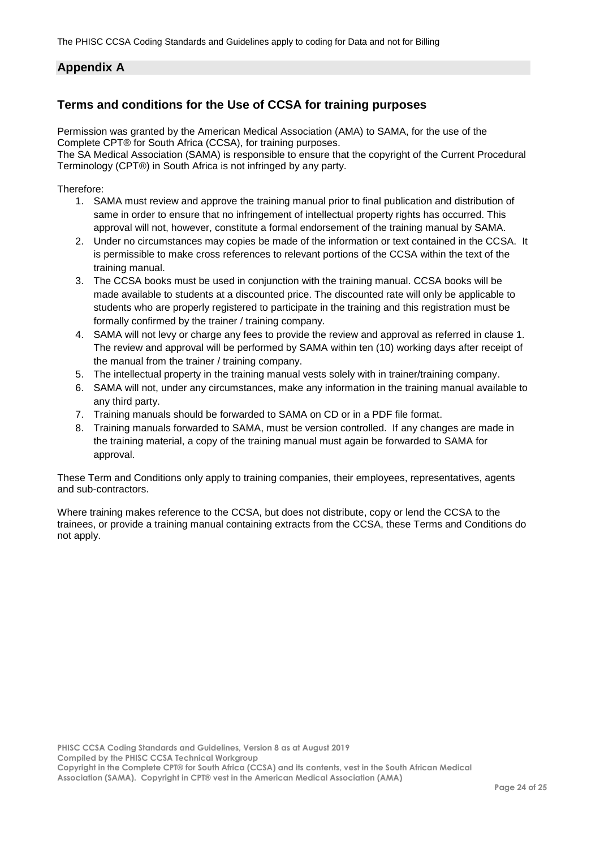# <span id="page-23-0"></span>**Appendix A**

# <span id="page-23-1"></span>**Terms and conditions for the Use of CCSA for training purposes**

Permission was granted by the American Medical Association (AMA) to SAMA, for the use of the Complete CPT® for South Africa (CCSA), for training purposes.

The SA Medical Association (SAMA) is responsible to ensure that the copyright of the Current Procedural Terminology (CPT®) in South Africa is not infringed by any party.

Therefore:

- 1. SAMA must review and approve the training manual prior to final publication and distribution of same in order to ensure that no infringement of intellectual property rights has occurred. This approval will not, however, constitute a formal endorsement of the training manual by SAMA.
- 2. Under no circumstances may copies be made of the information or text contained in the CCSA. It is permissible to make cross references to relevant portions of the CCSA within the text of the training manual.
- 3. The CCSA books must be used in conjunction with the training manual. CCSA books will be made available to students at a discounted price. The discounted rate will only be applicable to students who are properly registered to participate in the training and this registration must be formally confirmed by the trainer / training company.
- 4. SAMA will not levy or charge any fees to provide the review and approval as referred in clause 1. The review and approval will be performed by SAMA within ten (10) working days after receipt of the manual from the trainer / training company.
- 5. The intellectual property in the training manual vests solely with in trainer/training company.
- 6. SAMA will not, under any circumstances, make any information in the training manual available to any third party.
- 7. Training manuals should be forwarded to SAMA on CD or in a PDF file format.
- 8. Training manuals forwarded to SAMA, must be version controlled. If any changes are made in the training material, a copy of the training manual must again be forwarded to SAMA for approval.

These Term and Conditions only apply to training companies, their employees, representatives, agents and sub-contractors.

Where training makes reference to the CCSA, but does not distribute, copy or lend the CCSA to the trainees, or provide a training manual containing extracts from the CCSA, these Terms and Conditions do not apply.